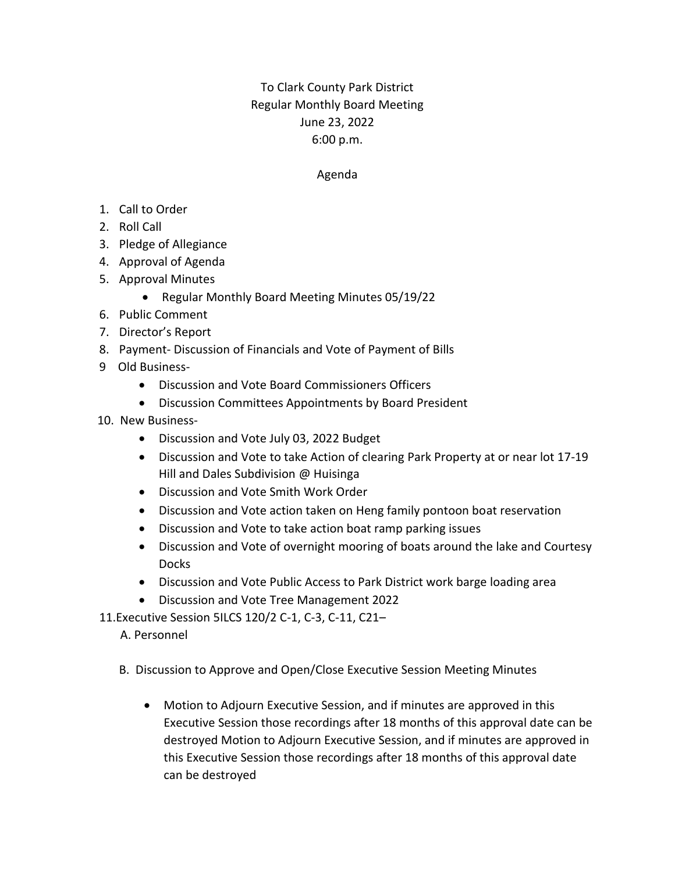## To Clark County Park District Regular Monthly Board Meeting June 23, 2022 6:00 p.m.

## Agenda

- 1. Call to Order
- 2. Roll Call
- 3. Pledge of Allegiance
- 4. Approval of Agenda
- 5. Approval Minutes
	- Regular Monthly Board Meeting Minutes 05/19/22
- 6. Public Comment
- 7. Director's Report
- 8. Payment- Discussion of Financials and Vote of Payment of Bills
- 9 Old Business-
	- Discussion and Vote Board Commissioners Officers
	- Discussion Committees Appointments by Board President
- 10. New Business-
	- Discussion and Vote July 03, 2022 Budget
	- Discussion and Vote to take Action of clearing Park Property at or near lot 17-19 Hill and Dales Subdivision @ Huisinga
	- Discussion and Vote Smith Work Order
	- Discussion and Vote action taken on Heng family pontoon boat reservation
	- Discussion and Vote to take action boat ramp parking issues
	- Discussion and Vote of overnight mooring of boats around the lake and Courtesy **Docks**
	- Discussion and Vote Public Access to Park District work barge loading area
	- Discussion and Vote Tree Management 2022
- 11.Executive Session 5ILCS 120/2 C-1, C-3, C-11, C21–
	- A. Personnel
	- B. Discussion to Approve and Open/Close Executive Session Meeting Minutes
		- Motion to Adjourn Executive Session, and if minutes are approved in this Executive Session those recordings after 18 months of this approval date can be destroyed Motion to Adjourn Executive Session, and if minutes are approved in this Executive Session those recordings after 18 months of this approval date can be destroyed